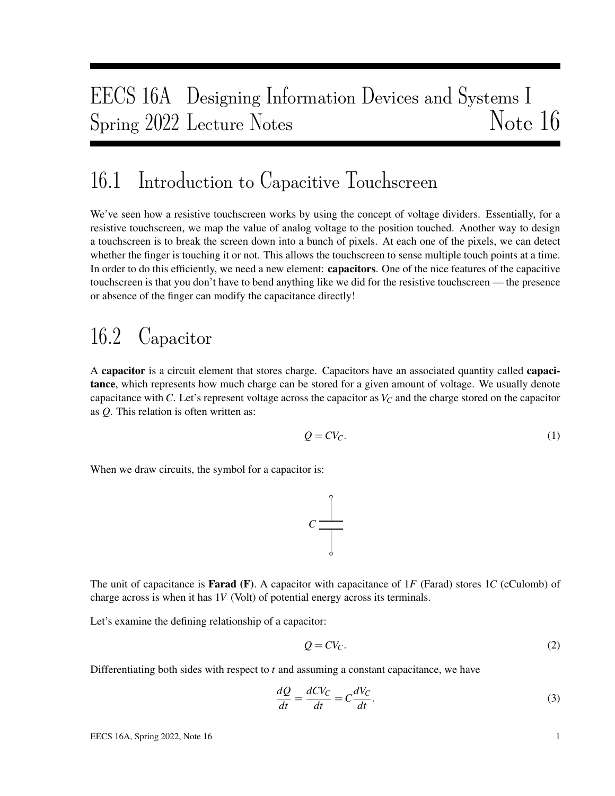# EECS 16A Designing Information Devices and Systems I Spring 2022 Lecture Notes Note 16

## 16.1 Introduction to Capacitive Touchscreen

We've seen how a resistive touchscreen works by using the concept of voltage dividers. Essentially, for a resistive touchscreen, we map the value of analog voltage to the position touched. Another way to design a touchscreen is to break the screen down into a bunch of pixels. At each one of the pixels, we can detect whether the finger is touching it or not. This allows the touchscreen to sense multiple touch points at a time. In order to do this efficiently, we need a new element: capacitors. One of the nice features of the capacitive touchscreen is that you don't have to bend anything like we did for the resistive touchscreen — the presence or absence of the finger can modify the capacitance directly!

# 16.2 Capacitor

A capacitor is a circuit element that stores charge. Capacitors have an associated quantity called capacitance, which represents how much charge can be stored for a given amount of voltage. We usually denote capacitance with *C*. Let's represent voltage across the capacitor as  $V_C$  and the charge stored on the capacitor as *Q*. This relation is often written as:

$$
Q = CV_C.
$$
 (1)

When we draw circuits, the symbol for a capacitor is:



The unit of capacitance is Farad (F). A capacitor with capacitance of 1*F* (Farad) stores 1*C* (cCulomb) of charge across is when it has 1*V* (Volt) of potential energy across its terminals.

Let's examine the defining relationship of a capacitor:

$$
Q = CV_C. \tag{2}
$$

Differentiating both sides with respect to *t* and assuming a constant capacitance, we have

$$
\frac{dQ}{dt} = \frac{dCV_C}{dt} = C\frac{dV_C}{dt}.
$$
\n(3)

EECS 16A, Spring 2022, Note 16 1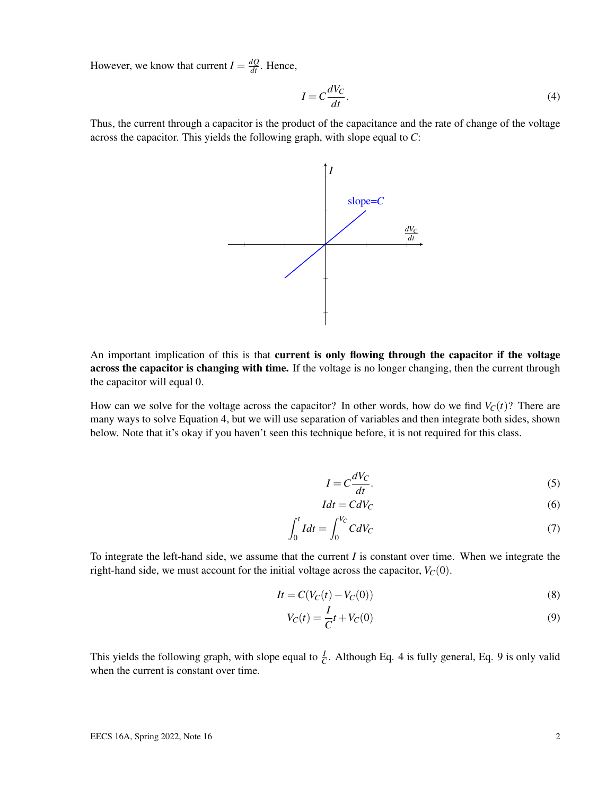However, we know that current  $I = \frac{dQ}{dt}$ . Hence,

$$
I = C \frac{dV_C}{dt}.
$$
\n<sup>(4)</sup>

Thus, the current through a capacitor is the product of the capacitance and the rate of change of the voltage across the capacitor. This yields the following graph, with slope equal to *C*:



An important implication of this is that **current is only flowing through the capacitor if the voltage** across the capacitor is changing with time. If the voltage is no longer changing, then the current through the capacitor will equal 0.

How can we solve for the voltage across the capacitor? In other words, how do we find  $V_C(t)$ ? There are many ways to solve Equation 4, but we will use separation of variables and then integrate both sides, shown below. Note that it's okay if you haven't seen this technique before, it is not required for this class.

$$
I = C \frac{dV_C}{dt}.
$$

$$
Idt = CdV_C \tag{6}
$$

$$
\int_0^t I dt = \int_0^{V_C} C dV_C \tag{7}
$$

To integrate the left-hand side, we assume that the current *I* is constant over time. When we integrate the right-hand side, we must account for the initial voltage across the capacitor,  $V_C(0)$ .

$$
It = C(V_C(t) - V_C(0))
$$
\n<sup>(8)</sup>

$$
V_C(t) = \frac{I}{C}t + V_C(0)
$$
\n(9)

This yields the following graph, with slope equal to  $\frac{I}{C}$ . Although Eq. 4 is fully general, Eq. 9 is only valid when the current is constant over time.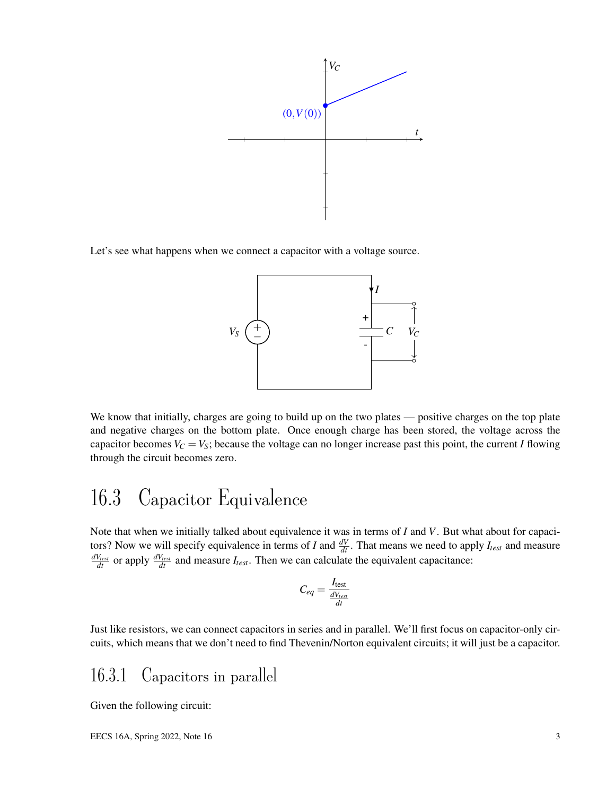

Let's see what happens when we connect a capacitor with a voltage source.



We know that initially, charges are going to build up on the two plates — positive charges on the top plate and negative charges on the bottom plate. Once enough charge has been stored, the voltage across the capacitor becomes  $V_C = V_S$ ; because the voltage can no longer increase past this point, the current *I* flowing through the circuit becomes zero.

## 16.3 Capacitor Equivalence

Note that when we initially talked about equivalence it was in terms of *I* and *V*. But what about for capacitors? Now we will specify equivalence in terms of I and  $\frac{dV}{dt}$ . That means we need to apply  $I_{test}$  and measure  $\frac{dV_{test}}{dt}$  or apply  $\frac{dV_{test}}{dt}$  and measure  $I_{test}$ . Then we can calculate the equivalent capacitance:

$$
C_{eq} = \frac{I_{\text{test}}}{\frac{dV_{test}}{dt}}
$$

Just like resistors, we can connect capacitors in series and in parallel. We'll first focus on capacitor-only circuits, which means that we don't need to find Thevenin/Norton equivalent circuits; it will just be a capacitor.

### 16.3.1 Capacitors in parallel

Given the following circuit: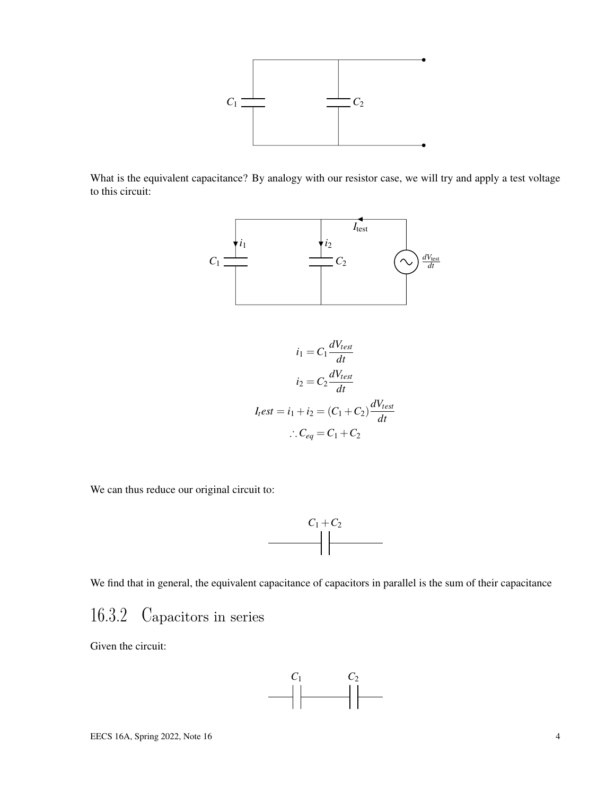

What is the equivalent capacitance? By analogy with our resistor case, we will try and apply a test voltage to this circuit:



$$
i_1 = C_1 \frac{dV_{test}}{dt}
$$

$$
i_2 = C_2 \frac{dV_{test}}{dt}
$$

$$
I_t est = i_1 + i_2 = (C_1 + C_2) \frac{dV_{test}}{dt}
$$

$$
\therefore C_{eq} = C_1 + C_2
$$

We can thus reduce our original circuit to:



We find that in general, the equivalent capacitance of capacitors in parallel is the sum of their capacitance

### 16.3.2 Capacitors in series

Given the circuit:

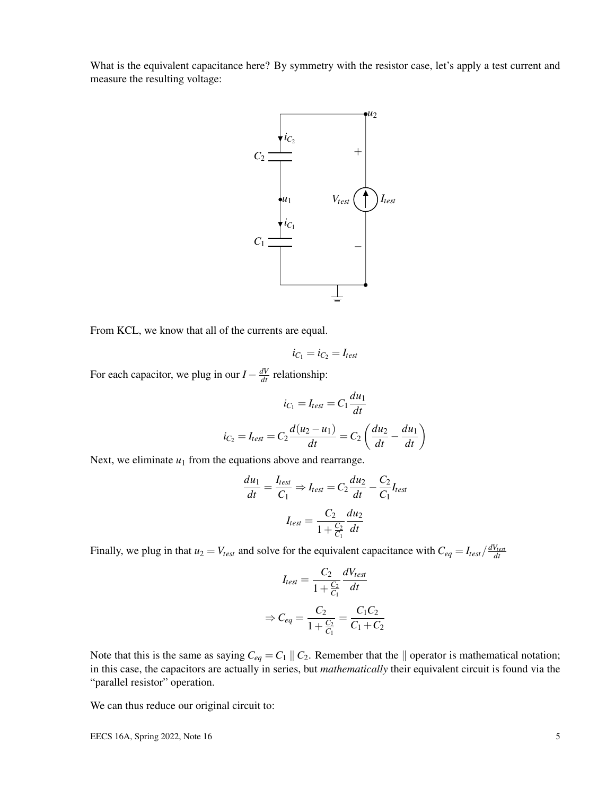What is the equivalent capacitance here? By symmetry with the resistor case, let's apply a test current and measure the resulting voltage:



From KCL, we know that all of the currents are equal.

$$
i_{C_1}=i_{C_2}=I_{\text{test}}
$$

For each capacitor, we plug in our  $I - \frac{dV}{dt}$  relationship:

$$
i_{C_1} = I_{test} = C_1 \frac{du_1}{dt}
$$

$$
i_{C_2} = I_{test} = C_2 \frac{d(u_2 - u_1)}{dt} = C_2 \left(\frac{du_2}{dt} - \frac{du_1}{dt}\right)
$$

Next, we eliminate  $u_1$  from the equations above and rearrange.

$$
\frac{du_1}{dt} = \frac{I_{test}}{C_1} \Rightarrow I_{test} = C_2 \frac{du_2}{dt} - \frac{C_2}{C_1} I_{test}
$$

$$
I_{test} = \frac{C_2}{1 + \frac{C_2}{C_1}} \frac{du_2}{dt}
$$

Finally, we plug in that  $u_2 = V_{test}$  and solve for the equivalent capacitance with  $C_{eq} = I_{test}/\frac{dV_{test}}{dt}$ 

$$
I_{test} = \frac{C_2}{1 + \frac{C_2}{C_1}} \frac{dV_{test}}{dt}
$$

$$
\Rightarrow C_{eq} = \frac{C_2}{1 + \frac{C_2}{C_1}} = \frac{C_1 C_2}{C_1 + C_2}
$$

Note that this is the same as saying  $C_{eq} = C_1 \parallel C_2$ . Remember that the  $\parallel$  operator is mathematical notation; in this case, the capacitors are actually in series, but *mathematically* their equivalent circuit is found via the "parallel resistor" operation.

We can thus reduce our original circuit to:

EECS 16A, Spring 2022, Note 16  $\frac{5}{5}$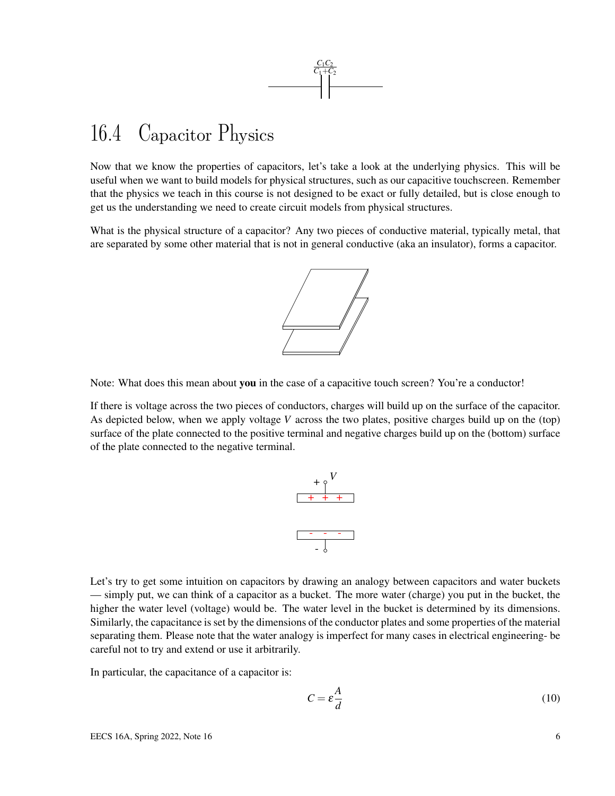

## 16.4 Capacitor Physics

Now that we know the properties of capacitors, let's take a look at the underlying physics. This will be useful when we want to build models for physical structures, such as our capacitive touchscreen. Remember that the physics we teach in this course is not designed to be exact or fully detailed, but is close enough to get us the understanding we need to create circuit models from physical structures.

What is the physical structure of a capacitor? Any two pieces of conductive material, typically metal, that are separated by some other material that is not in general conductive (aka an insulator), forms a capacitor.



Note: What does this mean about you in the case of a capacitive touch screen? You're a conductor!

If there is voltage across the two pieces of conductors, charges will build up on the surface of the capacitor. As depicted below, when we apply voltage *V* across the two plates, positive charges build up on the (top) surface of the plate connected to the positive terminal and negative charges build up on the (bottom) surface of the plate connected to the negative terminal.



Let's try to get some intuition on capacitors by drawing an analogy between capacitors and water buckets — simply put, we can think of a capacitor as a bucket. The more water (charge) you put in the bucket, the higher the water level (voltage) would be. The water level in the bucket is determined by its dimensions. Similarly, the capacitance is set by the dimensions of the conductor plates and some properties of the material separating them. Please note that the water analogy is imperfect for many cases in electrical engineering- be careful not to try and extend or use it arbitrarily.

In particular, the capacitance of a capacitor is:

$$
C = \varepsilon \frac{A}{d} \tag{10}
$$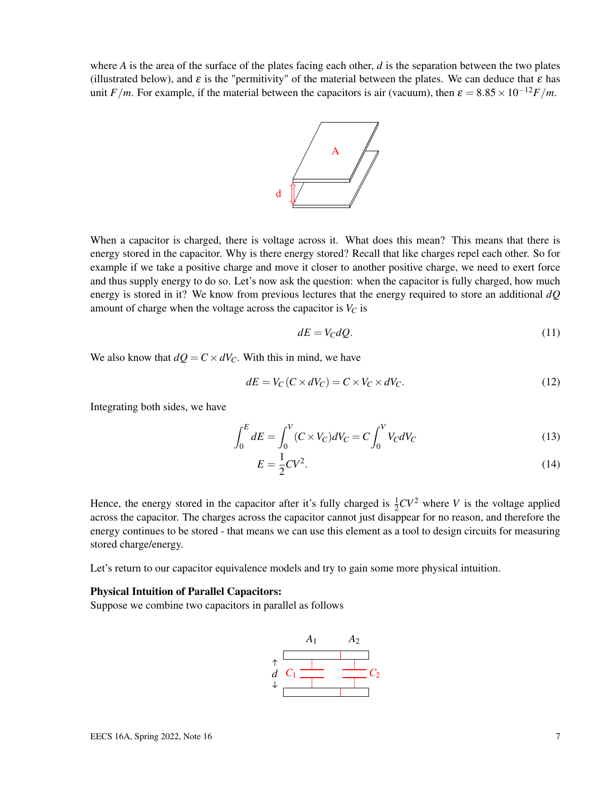where  $A$  is the area of the surface of the plates facing each other,  $d$  is the separation between the two plates (illustrated below), and  $\varepsilon$  is the "permitivity" of the material between the plates. We can deduce that  $\varepsilon$  has unit *F*/*m*. For example, if the material between the capacitors is air (vacuum), then  $\varepsilon = 8.85 \times 10^{-12}$ *F*/*m*.



When a capacitor is charged, there is voltage across it. What does this mean? This means that there is energy stored in the capacitor. Why is there energy stored? Recall that like charges repel each other. So for example if we take a positive charge and move it closer to another positive charge, we need to exert force and thus supply energy to do so. Let's now ask the question: when the capacitor is fully charged, how much energy is stored in it? We know from previous lectures that the energy required to store an additional *dQ* amount of charge when the voltage across the capacitor is  $V_C$  is

$$
dE = V_C dQ. \tag{11}
$$

We also know that  $dQ = C \times dV_C$ . With this in mind, we have

$$
dE = V_C (C \times dV_C) = C \times V_C \times dV_C.
$$
\n(12)

Integrating both sides, we have

$$
\int_{0}^{E} dE = \int_{0}^{V} (C \times V_{C}) dV_{C} = C \int_{0}^{V} V_{C} dV_{C}
$$
\n(13)

$$
E = \frac{1}{2}CV^2.
$$
\n
$$
(14)
$$

Hence, the energy stored in the capacitor after it's fully charged is  $\frac{1}{2}CV^2$  where *V* is the voltage applied across the capacitor. The charges across the capacitor cannot just disappear for no reason, and therefore the energy continues to be stored - that means we can use this element as a tool to design circuits for measuring stored charge/energy.

Let's return to our capacitor equivalence models and try to gain some more physical intuition.

#### Physical Intuition of Parallel Capacitors:

Suppose we combine two capacitors in parallel as follows

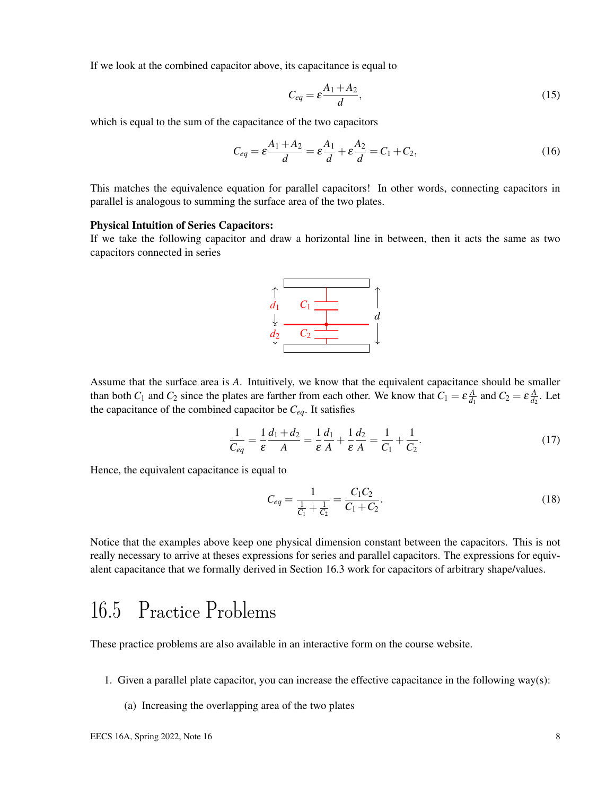If we look at the combined capacitor above, its capacitance is equal to

$$
C_{eq} = \varepsilon \frac{A_1 + A_2}{d},\tag{15}
$$

which is equal to the sum of the capacitance of the two capacitors

$$
C_{eq} = \varepsilon \frac{A_1 + A_2}{d} = \varepsilon \frac{A_1}{d} + \varepsilon \frac{A_2}{d} = C_1 + C_2, \tag{16}
$$

This matches the equivalence equation for parallel capacitors! In other words, connecting capacitors in parallel is analogous to summing the surface area of the two plates.

#### Physical Intuition of Series Capacitors:

If we take the following capacitor and draw a horizontal line in between, then it acts the same as two capacitors connected in series



Assume that the surface area is *A*. Intuitively, we know that the equivalent capacitance should be smaller than both  $C_1$  and  $C_2$  since the plates are farther from each other. We know that  $C_1 = \varepsilon \frac{A}{d}$  $\frac{A}{d_1}$  and  $C_2 = \varepsilon \frac{A}{d_2}$  $\frac{A}{d_2}$ . Let the capacitance of the combined capacitor be *Ceq*. It satisfies

$$
\frac{1}{C_{eq}} = \frac{1}{\varepsilon} \frac{d_1 + d_2}{A} = \frac{1}{\varepsilon} \frac{d_1}{A} + \frac{1}{\varepsilon} \frac{d_2}{A} = \frac{1}{C_1} + \frac{1}{C_2}.
$$
 (17)

Hence, the equivalent capacitance is equal to

$$
C_{eq} = \frac{1}{\frac{1}{C_1} + \frac{1}{C_2}} = \frac{C_1 C_2}{C_1 + C_2}.
$$
\n(18)

Notice that the examples above keep one physical dimension constant between the capacitors. This is not really necessary to arrive at theses expressions for series and parallel capacitors. The expressions for equivalent capacitance that we formally derived in Section 16.3 work for capacitors of arbitrary shape/values.

## 16.5 Practice Problems

These practice problems are also available in an interactive form on the course website.

- 1. Given a parallel plate capacitor, you can increase the effective capacitance in the following way(s):
	- (a) Increasing the overlapping area of the two plates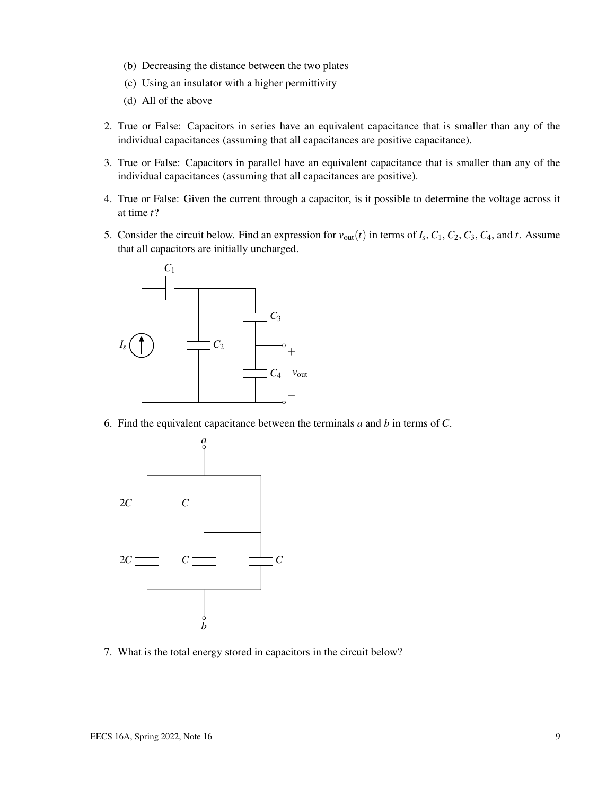- (b) Decreasing the distance between the two plates
- (c) Using an insulator with a higher permittivity
- (d) All of the above
- 2. True or False: Capacitors in series have an equivalent capacitance that is smaller than any of the individual capacitances (assuming that all capacitances are positive capacitance).
- 3. True or False: Capacitors in parallel have an equivalent capacitance that is smaller than any of the individual capacitances (assuming that all capacitances are positive).
- 4. True or False: Given the current through a capacitor, is it possible to determine the voltage across it at time *t*?
- 5. Consider the circuit below. Find an expression for  $v_{\text{out}}(t)$  in terms of  $I_s$ ,  $C_1$ ,  $C_2$ ,  $C_3$ ,  $C_4$ , and  $t$ . Assume that all capacitors are initially uncharged.



6. Find the equivalent capacitance between the terminals *a* and *b* in terms of *C*.



7. What is the total energy stored in capacitors in the circuit below?